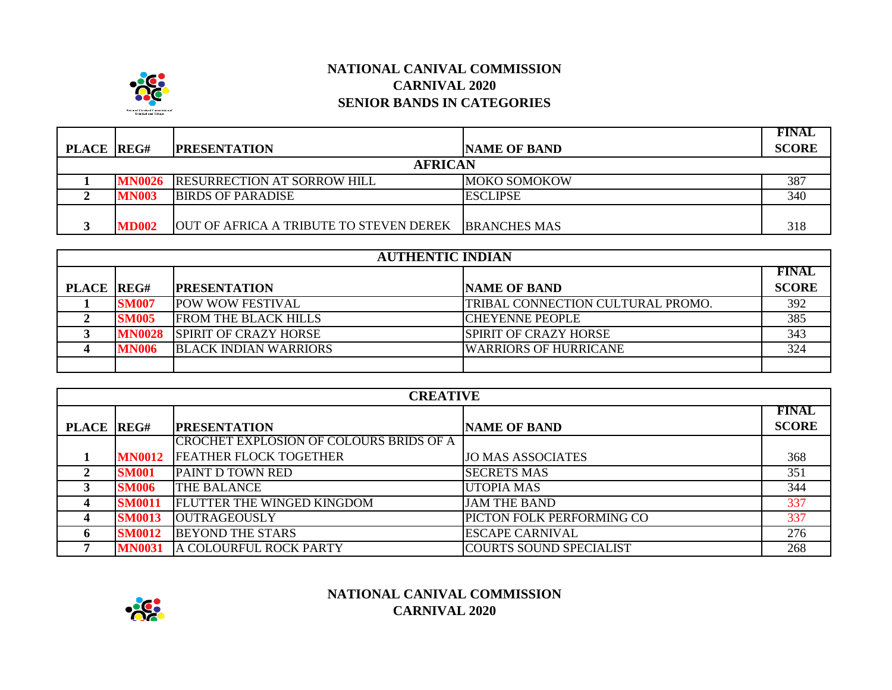

# **NATIONAL CANIVAL COMMISSION CARNIVAL 2020 SENIOR BANDS IN CATEGORIES**

|                   |               |                                         |                     | <b>FINAL</b> |
|-------------------|---------------|-----------------------------------------|---------------------|--------------|
| <b>PLACE REG#</b> |               | <b>PRESENTATION</b>                     | <b>NAME OF BAND</b> | <b>SCORE</b> |
| <b>AFRICAN</b>    |               |                                         |                     |              |
|                   | <b>MN0026</b> | <b>RESURRECTION AT SORROW HILL</b>      | <b>MOKO SOMOKOW</b> | 387          |
|                   | <b>MN003</b>  | <b>BIRDS OF PARADISE</b>                | <b>ESCLIPSE</b>     | 340          |
|                   |               |                                         |                     |              |
|                   | <b>MD002</b>  | OUT OF AFRICA A TRIBUTE TO STEVEN DEREK | <b>BRANCHES MAS</b> | 318          |

| <b>AUTHENTIC INDIAN</b> |               |                              |                                          |              |
|-------------------------|---------------|------------------------------|------------------------------------------|--------------|
|                         |               |                              |                                          | <b>FINAL</b> |
| PLACE REG#              |               | <b>PRESENTATION</b>          | <b>NAME OF BAND</b>                      | <b>SCORE</b> |
|                         | <b>SM007</b>  | <b>POW WOW FESTIVAL</b>      | <b>TRIBAL CONNECTION CULTURAL PROMO.</b> | 392          |
|                         | <b>SM005</b>  | <b>FROM THE BLACK HILLS</b>  | <b>ICHEYENNE PEOPLE</b>                  | 385          |
|                         | <b>MN0028</b> | <b>SPIRIT OF CRAZY HORSE</b> | <b>SPIRIT OF CRAZY HORSE</b>             | 343          |
|                         | <b>MN006</b>  | <b>BLACK INDIAN WARRIORS</b> | <b>WARRIORS OF HURRICANE</b>             | 324          |
|                         |               |                              |                                          |              |

| <b>CREATIVE</b>   |               |                                         |                           |              |
|-------------------|---------------|-----------------------------------------|---------------------------|--------------|
|                   |               |                                         |                           | <b>FINAL</b> |
| <b>PLACE REG#</b> |               | <b>PRESENTATION</b>                     | <b>NAME OF BAND</b>       | <b>SCORE</b> |
|                   |               | CROCHET EXPLOSION OF COLOURS BRIDS OF A |                           |              |
|                   | <b>MN0012</b> | <b>FEATHER FLOCK TOGETHER</b>           | <b>JO MAS ASSOCIATES</b>  | 368          |
| 2                 | <b>SM001</b>  | <b>PAINT D TOWN RED</b>                 | <b>SECRETS MAS</b>        | 351          |
| 3                 | <b>SM006</b>  | THE BALANCE                             | <b>UTOPIA MAS</b>         | 344          |
| 4                 | <b>SM0011</b> | FLUTTER THE WINGED KINGDOM              | <b>JAM THE BAND</b>       | 337          |
| 4                 | <b>SM0013</b> | <b>OUTRAGEOUSLY</b>                     | PICTON FOLK PERFORMING CO | 337          |
| 6                 | <b>SM0012</b> | <b>BEYOND THE STARS</b>                 | <b>ESCAPE CARNIVAL</b>    | 276          |
|                   | <b>MN0031</b> | A COLOURFUL ROCK PARTY                  | COURTS SOUND SPECIALIST   | 268          |



### **NATIONAL CANIVAL COMMISSION CARNIVAL 2020**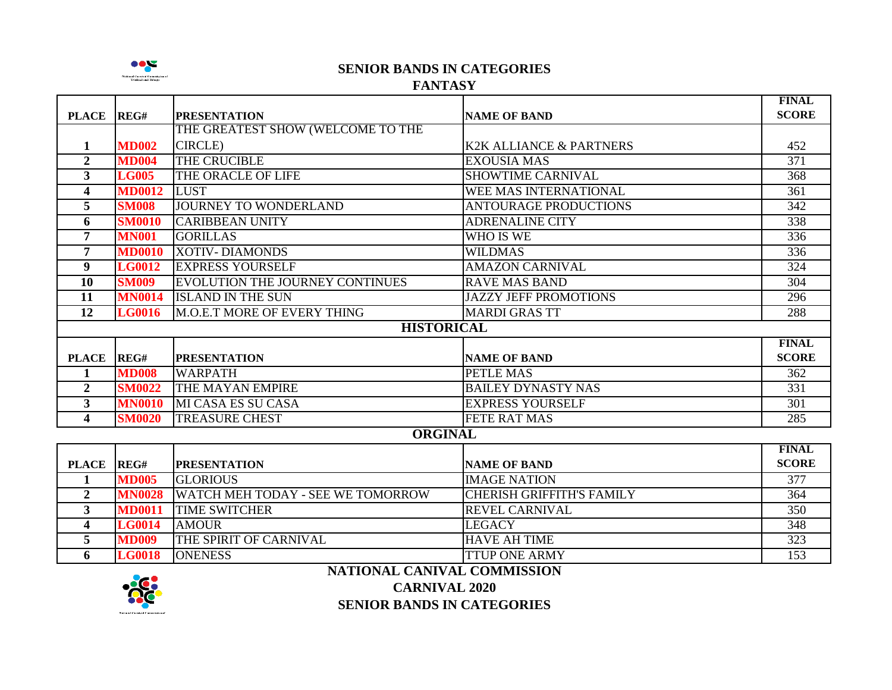

**SENIOR BANDS IN CATEGORIES**

#### **FANTASY**

|                         |               |                                        |                                    | <b>FINAL</b>     |
|-------------------------|---------------|----------------------------------------|------------------------------------|------------------|
| <b>PLACE</b>            | REG#          | <b>PRESENTATION</b>                    | <b>NAME OF BAND</b>                | <b>SCORE</b>     |
|                         |               | THE GREATEST SHOW (WELCOME TO THE      |                                    |                  |
| 1                       | <b>MD002</b>  | <b>CIRCLE</b> )                        | <b>K2K ALLIANCE &amp; PARTNERS</b> | 452              |
| $\mathbf{2}$            | <b>MD004</b>  | THE CRUCIBLE                           | <b>EXOUSIA MAS</b>                 | $\overline{371}$ |
| $\mathbf{3}$            | <b>LG005</b>  | THE ORACLE OF LIFE                     | <b>SHOWTIME CARNIVAL</b>           | 368              |
| $\overline{\mathbf{4}}$ | <b>MD0012</b> | LUST                                   | <b>WEE MAS INTERNATIONAL</b>       | $\overline{361}$ |
| 5                       | <b>SM008</b>  | JOURNEY TO WONDERLAND                  | <b>ANTOURAGE PRODUCTIONS</b>       | $\overline{342}$ |
| 6                       | <b>SM0010</b> | <b>CARIBBEAN UNITY</b>                 | <b>ADRENALINE CITY</b>             | 338              |
| $\overline{7}$          | <b>MN001</b>  | <b>GORILLAS</b>                        | WHO IS WE                          | 336              |
| 7                       | <b>MD0010</b> | <b>XOTIV-DIAMONDS</b>                  | <b>WILDMAS</b>                     | 336              |
| 9                       | <b>LG0012</b> | <b>EXPRESS YOURSELF</b>                | <b>AMAZON CARNIVAL</b>             | 324              |
| 10                      | <b>SM009</b>  | <b>EVOLUTION THE JOURNEY CONTINUES</b> | <b>RAVE MAS BAND</b>               | 304              |
| 11                      | <b>MN0014</b> | <b>ISLAND IN THE SUN</b>               | <b>JAZZY JEFF PROMOTIONS</b>       | 296              |
| $\overline{12}$         | <b>LG0016</b> | M.O.E.T MORE OF EVERY THING            | <b>MARDI GRAS TT</b>               | 288              |
|                         |               | <b>HISTORICAL</b>                      |                                    |                  |
|                         |               |                                        |                                    | <b>FINAL</b>     |
| <b>PLACE</b>            | REG#          | <b>PRESENTATION</b>                    | <b>NAME OF BAND</b>                | <b>SCORE</b>     |
| 1                       | <b>MD008</b>  | <b>WARPATH</b>                         | PETLE MAS                          | $\overline{362}$ |
| $\overline{2}$          | <b>SM0022</b> | THE MAYAN EMPIRE                       | <b>BAILEY DYNASTY NAS</b>          | 331              |
| $\mathbf{3}$            | <b>MN0010</b> | <b>MI CASA ES SU CASA</b>              | <b>EXPRESS YOURSELF</b>            | $\overline{301}$ |
| $\overline{\mathbf{4}}$ | <b>SM0020</b> | <b>TREASURE CHEST</b>                  | <b>FETE RAT MAS</b>                | 285              |
|                         |               | <b>ORGINAL</b>                         |                                    |                  |
|                         |               |                                        |                                    | <b>FINAL</b>     |
| <b>PLACE</b>            | REG#          | <b>PRESENTATION</b>                    | <b>NAME OF BAND</b>                | <b>SCORE</b>     |
| 1                       | <b>MD005</b>  | <b>GLORIOUS</b>                        | <b>IMAGE NATION</b>                | $\overline{377}$ |
| $\overline{2}$          | <b>MN0028</b> | WATCH MEH TODAY - SEE WE TOMORROW      | <b>CHERISH GRIFFITH'S FAMILY</b>   | 364              |
| $\mathbf{3}$            | <b>MD0011</b> | <b>TIME SWITCHER</b>                   | <b>REVEL CARNIVAL</b>              | $\overline{350}$ |
| 4                       | <b>LG0014</b> | <b>AMOUR</b>                           | <b>LEGACY</b>                      | $\overline{348}$ |
| 5                       | <b>MD009</b>  | THE SPIRIT OF CARNIVAL                 | <b>HAVE AH TIME</b>                | 323              |
| 6                       | <b>LG0018</b> | <b>ONENESS</b>                         | <b>TTUP ONE ARMY</b>               | $\overline{153}$ |



# **NATIONAL CANIVAL COMMISSION**

**CARNIVAL 2020**

**SENIOR BANDS IN CATEGORIES**